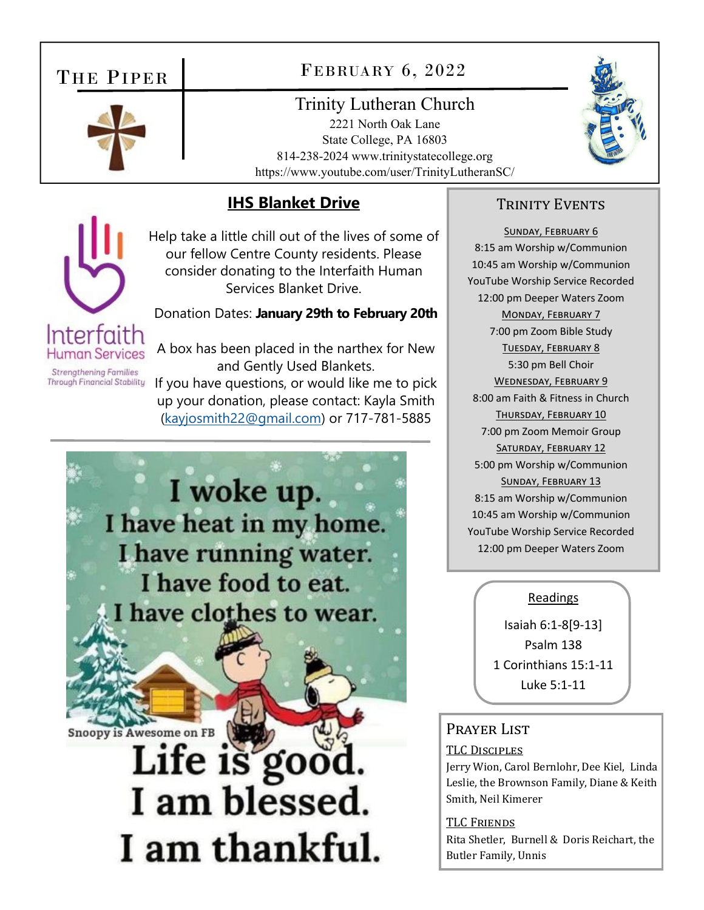## THE PIPER



## FEBRUARY 6, 2022

## Trinity Lutheran Church

2221 North Oak Lane State College, PA 16803 814-238-2024 www.trinitystatecollege.org https://www.youtube.com/user/TrinityLutheranSC/



## **IHS Blanket Drive**

Help take a little chill out of the lives of some of our fellow Centre County residents. Please consider donating to the Interfaith Human Services Blanket Drive.

#### Donation Dates: **January 29th to February 20th**

**Human Services Strengthening Families Through Financial Stability** 

Interfaith

A box has been placed in the narthex for New and Gently Used Blankets. If you have questions, or would like me to pick up your donation, please contact: Kayla Smith (kayjosmith22@gmail.com) or 717-781-5885

I woke up. I have heat in my home. I have running water. I have food to eat. I have clothes to wear.

**Snoopy is Awesome on FB** 

Life is good.<br>I am blessed. I am thankful.

#### TRINITY EVENTS

SUNDAY, FEBRUARY 6 8:15 am Worship w/Communion 10:45 am Worship w/Communion YouTube Worship Service Recorded 12:00 pm Deeper Waters Zoom MONDAY, FEBRUARY 7 7:00 pm Zoom Bible Study TUESDAY, FEBRUARY 8 5:30 pm Bell Choir WEDNESDAY, FEBRUARY 9 8:00 am Faith & Fitness in Church THURSDAY, FEBRUARY 10 7:00 pm Zoom Memoir Group SATURDAY, FEBRUARY 12 5:00 pm Worship w/Communion SUNDAY, FEBRUARY 13 8:15 am Worship w/Communion 10:45 am Worship w/Communion YouTube Worship Service Recorded 12:00 pm Deeper Waters Zoom

#### **Readings**

Isaiah 6:1‐8[9‐13] Psalm 138 1 Corinthians 15:1‐11 Luke 5:1‐11

### PRAYER LIST

#### TLC DISCIPLES

Jerry Wion, Carol Bernlohr, Dee Kiel, Linda Leslie, the Brownson Family, Diane & Keith Smith, Neil Kimerer

#### TLC FRIENDS

Rita Shetler, Burnell & Doris Reichart, the Butler Family, Unnis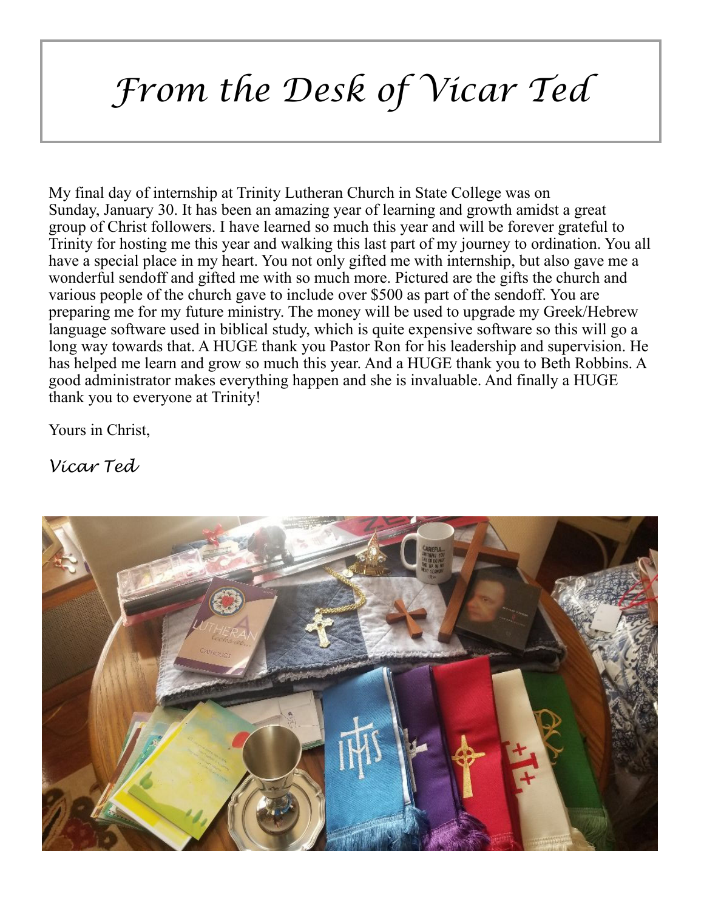# *From the Desk of Vicar Ted*

My final day of internship at Trinity Lutheran Church in State College was on Sunday, January 30. It has been an amazing year of learning and growth amidst a great group of Christ followers. I have learned so much this year and will be forever grateful to Trinity for hosting me this year and walking this last part of my journey to ordination. You all have a special place in my heart. You not only gifted me with internship, but also gave me a wonderful sendoff and gifted me with so much more. Pictured are the gifts the church and various people of the church gave to include over \$500 as part of the sendoff. You are preparing me for my future ministry. The money will be used to upgrade my Greek/Hebrew language software used in biblical study, which is quite expensive software so this will go a long way towards that. A HUGE thank you Pastor Ron for his leadership and supervision. He has helped me learn and grow so much this year. And a HUGE thank you to Beth Robbins. A good administrator makes everything happen and she is invaluable. And finally a HUGE thank you to everyone at Trinity!

Yours in Christ,

*Vicar Ted*